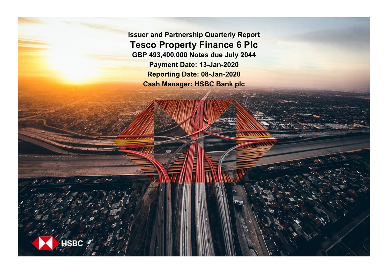**Issuer and Partnership Quarterly Report Tesco Property Finance 6 Plc GBP 493,400,000 Notes due July 2044 Payment Date: 13-Jan-2020 Reporting Date: 08-Jan-2020 Cash Manager: HSBC Bank plc**

**SRC**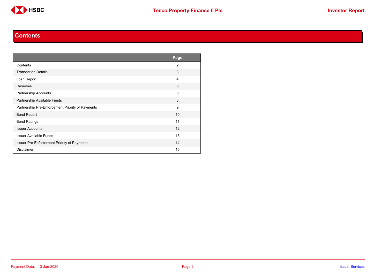

#### **Contents**

<span id="page-1-0"></span>

|                                                  | Page           |
|--------------------------------------------------|----------------|
| Contents                                         | $\overline{2}$ |
| <b>Transaction Details</b>                       | 3              |
| Loan Report                                      | 4              |
| Reserves                                         | 5              |
| <b>Partnership Accounts</b>                      | 6              |
| Partnership Available Funds                      | 8              |
| Partnership Pre-Enforcement Priority of Payments | 9              |
| <b>Bond Report</b>                               | 10             |
| <b>Bond Ratings</b>                              | 11             |
| <b>Issuer Accounts</b>                           | 12             |
| <b>Issuer Available Funds</b>                    | 13             |
| Issuer Pre-Enforcement Priority of Payments      | 14             |
| <b>Disclaimer</b>                                | 15             |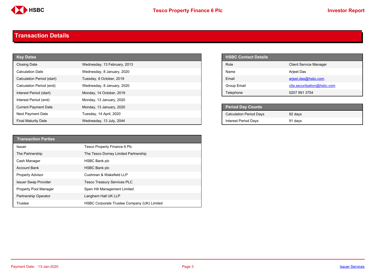

#### <span id="page-2-0"></span>**Transaction Details**

| <b>Key Dates</b>            |                              | <b>HSBC Contact Details</b>    |                               |
|-----------------------------|------------------------------|--------------------------------|-------------------------------|
| <b>Closing Date</b>         | Wednesday, 13 February, 2013 | Role                           | <b>Client Service Manager</b> |
| <b>Calculation Date</b>     | Wednesday, 8 January, 2020   | Name                           | Arjeet Das                    |
| Calculation Period (start)  | Tuesday, 8 October, 2019     | Email                          | arjeet.das@hsbc.com           |
| Calculation Period (end)    | Wednesday, 8 January, 2020   | Group Email                    | ctla.securitsation@hsbc.com   |
| Interest Period (start)     | Monday, 14 October, 2019     | Telephone                      | 0207 991 3754                 |
| Interest Period (end)       | Monday, 13 January, 2020     |                                |                               |
| <b>Current Payment Date</b> | Monday, 13 January, 2020     | <b>Period Day Counts</b>       |                               |
| <b>Next Payment Date</b>    | Tuesday, 14 April, 2020      | <b>Calculation Period Days</b> | 92 days                       |
| <b>Final Maturity Date</b>  | Wednesday, 13 July, 2044     | <b>Interest Period Days</b>    | 91 days                       |

| <b>HSBC Contact Details</b> |                               |
|-----------------------------|-------------------------------|
| Role                        | <b>Client Service Manager</b> |
| Name                        | <b>Arjeet Das</b>             |
| <b>Fmail</b>                | arjeet.das@hsbc.com           |
| Group Email                 | ctla.securitsation@hsbc.com   |
| Telephone                   | 0207 991 3754                 |

| <b>Period Day Counts</b>       |         |  |
|--------------------------------|---------|--|
| <b>Calculation Period Days</b> | 92 days |  |
| <b>Interest Period Days</b>    | 91 days |  |

| <b>Transaction Parties</b>  |                                             |
|-----------------------------|---------------------------------------------|
| <b>Issuer</b>               | Tesco Property Finance 6 Plc                |
| The Partnership             | The Tesco Dorney Limited Partnership        |
| Cash Manager                | <b>HSBC Bank plc</b>                        |
| <b>Account Bank</b>         | <b>HSBC Bank plc</b>                        |
| <b>Property Advisor</b>     | Cushman & Wakefield LLP                     |
| <b>Issuer Swap Provider</b> | <b>Tesco Treasury Services PLC</b>          |
| Property Pool Manager       | Spen Hill Management Limited                |
| Partnership Operator        | Langham Hall UK LLP                         |
| Trustee                     | HSBC Corporate Trustee Company (UK) Limited |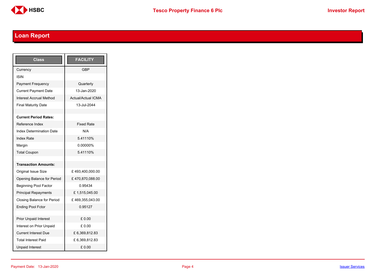

# <span id="page-3-0"></span>**Loan Report**

| Class                           | <b>FACILITY</b>           |
|---------------------------------|---------------------------|
| Currency                        | GBP                       |
| <b>ISIN</b>                     |                           |
| <b>Payment Frequency</b>        | Quarterly                 |
| <b>Current Payment Date</b>     | 13-Jan-2020               |
| <b>Interest Accrual Method</b>  | <b>Actual/Actual ICMA</b> |
| <b>Final Maturity Date</b>      | 13-Jul-2044               |
|                                 |                           |
| <b>Current Period Rates:</b>    |                           |
| Reference Index                 | <b>Fixed Rate</b>         |
| <b>Index Determination Date</b> | N/A                       |
| <b>Index Rate</b>               | 5.41110%                  |
| Margin                          | 0.00000%                  |
| <b>Total Coupon</b>             | 5.41110%                  |
|                                 |                           |
| <b>Transaction Amounts:</b>     |                           |
| <b>Original Issue Size</b>      | £493,400,000.00           |
| Opening Balance for Period      | £470,870,088.00           |
| <b>Beginning Pool Factor</b>    | 0 95434                   |
| <b>Principal Repayments</b>     | £1,515,045.00             |
| Closing Balance for Period      | £469,355,043.00           |
| <b>Ending Pool Fctor</b>        | 0.95127                   |
|                                 |                           |
| <b>Prior Unpaid Interest</b>    | £0.00                     |
| Interest on Prior Unpaid        | £ 0.00                    |
| <b>Current Interest Due</b>     | £ 6,369,812.83            |
| <b>Total Interest Paid</b>      | £ 6,369,812.83            |
| <b>Unpaid Interest</b>          | £0.00                     |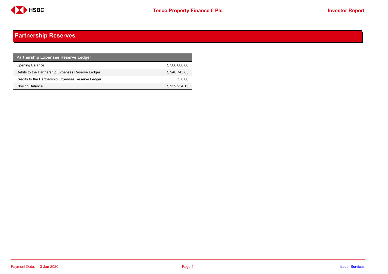

## <span id="page-4-0"></span>**Partnership Reserves**

| <b>Partnership Expenses Reserve Ledger</b>         |              |
|----------------------------------------------------|--------------|
| <b>Opening Balance</b>                             | £ 500,000.00 |
| Debits to the Partnership Expenses Reserve Ledger  | £240.745.85  |
| Credits to the Partnership Expenses Reserve Ledger | £ 0.00       |
| Closing Balance                                    | £ 259,254.15 |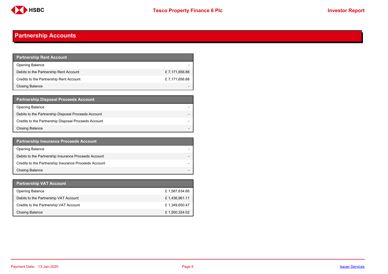

## <span id="page-5-0"></span>**Partnership Accounts**

| Partnership Rent Account <b>P</b>       |               |
|-----------------------------------------|---------------|
| <b>Opening Balance</b>                  |               |
| Debits to the Partnership Rent Account  | £7,171,656.88 |
| Credits to the Partnership Rent Account | £7,171,656.88 |
| Closing Balance                         |               |

| <b>Partnership Disposal Proceeds Account</b>         |  |
|------------------------------------------------------|--|
| <b>Opening Balance</b>                               |  |
| Debits to the Partnership Disposal Proceeds Account  |  |
| Credits to the Partnership Disposal Proceeds Account |  |
| <b>Closing Balance</b>                               |  |

| <b>Partnership Insurance Proceeds Account</b>         |  |
|-------------------------------------------------------|--|
| <b>Opening Balance</b>                                |  |
| Debits to the Partnership Insurance Proceeds Account  |  |
| Credits to the Partnership Insurance Proceeds Account |  |
| <b>Closing Balance</b>                                |  |

| <b>Partnership VAT Account</b>         |               |
|----------------------------------------|---------------|
| <b>Opening Balance</b>                 | £1,587,634.66 |
| Debits to the Partnership VAT Account  | £1,436,961.11 |
| Credits to the Partnership VAT Account | £1,349,650.47 |
| Closing Balance                        | £1,500,324.02 |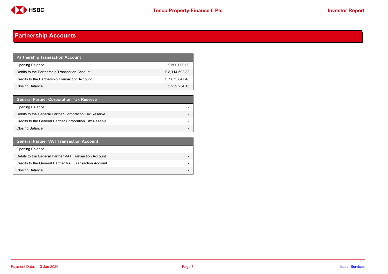

## **Partnership Accounts**

| <b>Partnership Transaction Account</b>         |                |
|------------------------------------------------|----------------|
| <b>Opening Balance</b>                         | £500,000.00    |
| Debits to the Partnership Transaction Account  | £ 8,114,593.33 |
| Credits to the Partnership Transaction Account | £7,873,847.48  |
| <b>Closing Balance</b>                         | £259.254.15    |

| <b>General Partner Corporation Tax Reserve</b>         |  |
|--------------------------------------------------------|--|
| <b>Opening Balance</b>                                 |  |
| Debits to the General Partner Corporation Tax Reserve  |  |
| Credits to the General Partner Corporation Tax Reserve |  |
| <b>Closing Balance</b>                                 |  |

| <b>General Partner VAT Transaction Account</b>         |                          |
|--------------------------------------------------------|--------------------------|
| <b>Opening Balance</b>                                 |                          |
| Debits to the General Partner VAT Transaction Account  |                          |
| Credits to the General Partner VAT Transaction Account |                          |
| <b>Closing Balance</b>                                 | $\overline{\phantom{0}}$ |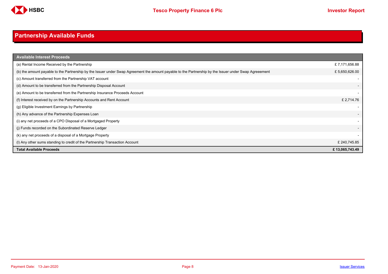

# <span id="page-7-0"></span>**Partnership Available Funds**

| <b>Available Interest Proceeds</b>                                                                                                                     |                |
|--------------------------------------------------------------------------------------------------------------------------------------------------------|----------------|
| (a) Rental Income Received by the Partnership                                                                                                          | £7,171,656.88  |
| (b) the amount payable to the Partnership by the Issuer under Swap Agreement the amount payable to the Partnership by the Issuer under Swap Agreeement | £5,650,626.00  |
| (c) Amount transferred from the Partnership VAT account                                                                                                |                |
| (d) Amount to be transferred from the Partnership Disposal Account                                                                                     |                |
| (e) Amount to be transferred from the Partnership Insurance Proceeds Account                                                                           |                |
| (f) Interest received by on the Partnership Accounts and Rent Account                                                                                  | £ 2,714.76     |
| (g) Eligible Investment Earnings by Partnership                                                                                                        |                |
| (h) Any advance of the Partnership Expenses Loan                                                                                                       |                |
| (i) any net proceeds of a CPO Disposal of a Mortgaged Property                                                                                         |                |
| (i) Funds recorded on the Subordinated Reserve Ledger                                                                                                  |                |
| (k) any net proceeds of a disposal of a Mortgage Property                                                                                              |                |
| (I) Any other sums standing to credit of the Partnership Transaction Account                                                                           | £240,745.85    |
| <b>Total Available Proceeds</b>                                                                                                                        | £13,065,743.49 |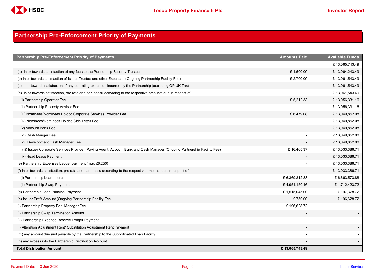

## <span id="page-8-0"></span>**Partnership Pre-Enforcement Priority of Payments**

| <b>Partnership Pre-Enforcement Priority of Payments</b>                                                                   | <b>Amounts Paid</b> | <b>Available Funds</b> |
|---------------------------------------------------------------------------------------------------------------------------|---------------------|------------------------|
|                                                                                                                           |                     | £13,065,743.49         |
| (a) in or towards satisfaction of any fees to the Partnership Security Trustee                                            | £1,500.00           | £13,064,243.49         |
| (b) in or towards satisfaction of Issuer Trustee and other Expenses (Ongoing Partnership Facility Fee)                    | £ 2,700.00          | £13,061,543.49         |
| (c) in or towards satisfaction of any operating expenses incurred by the Partnership (excluding GP UK Tax)                |                     | £13,061,543.49         |
| (d) in or towards satisfaction, pro rata and pari passu according to the respective amounts due in respect of:            |                     | £13,061,543.49         |
| (i) Partnership Operator Fee                                                                                              | £5,212.33           | £13,056,331.16         |
| (ii) Partnership Property Advisor Fee                                                                                     |                     | £13,056,331.16         |
| (iii) Nominees/Nominees Holdco Corporate Services Provider Fee                                                            | £6,479.08           | £13,049,852.08         |
| (iv) Nominees/Nominees Holdco Side Letter Fee                                                                             |                     | £13,049,852.08         |
| (v) Account Bank Fee                                                                                                      |                     | £13,049,852.08         |
| (vi) Cash Manger Fee                                                                                                      |                     | £13,049,852.08         |
| (vii) Development Cash Manager Fee                                                                                        |                     | £13,049,852.08         |
| (viii) Issuer Corporate Services Provider, Paying Agent, Account Bank and Cash Manager (Ongoing Partnership Facility Fee) | £16,465.37          | £13,033,386.71         |
| (ix) Head Lease Payment                                                                                                   |                     | £13,033,386.71         |
| (e) Partnership Expenses Ledger payment (max £6,250)                                                                      |                     | £13,033,386.71         |
| (f) in or towards satisfaction, pro rata and pari passu according to the respective amounts due in respect of:            |                     | £13,033,386.71         |
| (i) Partnership Loan Interest                                                                                             | £6,369,812.83       | £6,663,573.88          |
| (ii) Partnership Swap Payment                                                                                             | £4,951,150.16       | £1,712,423.72          |
| (g) Partnership Loan Principal Payment                                                                                    | £1,515,045.00       | £197,378.72            |
| (h) Issuer Profit Amount (Ongoing Partnership Facility Fee                                                                | £750.00             | £196,628.72            |
| (i) Partnership Property Pool Manager Fee                                                                                 | £196,628.72         |                        |
| (j) Partnership Swap Termination Amount                                                                                   |                     |                        |
| (k) Partnership Expense Reserve Ledger Payment                                                                            |                     |                        |
| (I) Alteration Adjustment Rent/ Substitution Adjustment Rent Payment                                                      |                     |                        |
| (m) any amount due and payable by the Partnership to the Subordinated Loan Facility                                       |                     |                        |
| (n) any excess into the Partnership Distribution Account                                                                  |                     |                        |
| <b>Total Distribution Amount</b>                                                                                          | £13,065,743.49      |                        |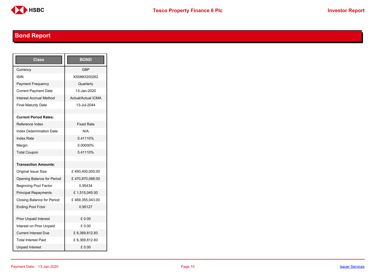

# <span id="page-9-0"></span>**Bond Report**

| Class                             | <b>BOND</b>               |
|-----------------------------------|---------------------------|
| Currency                          | <b>GBP</b>                |
| <b>ISIN</b>                       | XS0883200262              |
| <b>Payment Frequency</b>          | Quarterly                 |
| <b>Current Payment Date</b>       | 13-Jan-2020               |
| <b>Interest Accrual Method</b>    | <b>Actual/Actual ICMA</b> |
| <b>Final Maturity Date</b>        | 13-Jul-2044               |
|                                   |                           |
| <b>Current Period Rates:</b>      |                           |
| Reference Index                   | <b>Fixed Rate</b>         |
| <b>Index Determination Date</b>   | N/A                       |
| <b>Index Rate</b>                 | 5.41110%                  |
| Margin                            | 0.00000%                  |
| <b>Total Coupon</b>               | 5.41110%                  |
|                                   |                           |
| <b>Transaction Amounts:</b>       |                           |
| <b>Original Issue Size</b>        | £493,400,000.00           |
| Opening Balance for Period        | £470,870,088.00           |
| <b>Beginning Pool Factor</b>      | 0.95434                   |
| <b>Principal Repayments</b>       | £1,515,045.00             |
| <b>Closing Balance for Period</b> | £469,355,043.00           |
| <b>Ending Pool Fctor</b>          | 0.95127                   |
|                                   |                           |
| <b>Prior Unpaid Interest</b>      | £ 0.00                    |
| Interest on Prior Unpaid          | £ 0.00                    |
| <b>Current Interest Due</b>       | £6,369,812.83             |
| <b>Total Interest Paid</b>        | £6,369,812.83             |
| <b>Unpaid Interest</b>            | £0.00                     |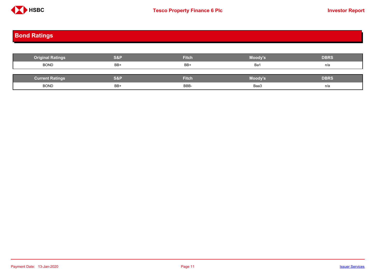

# <span id="page-10-0"></span>**Bond Ratings**

| <b>Original Ratings</b> | S&P | <b>Fitch</b> | Moody's | <b>DBRS</b> |
|-------------------------|-----|--------------|---------|-------------|
| <b>BOND</b>             | BB+ | BB+          | Ba1     | n/a         |
|                         |     |              |         |             |
| <b>Current Ratings</b>  | S&P | <b>Fitch</b> | Moody's | <b>DBRS</b> |
| <b>BOND</b>             | BB+ | BBB-         | Baa3    | n/a         |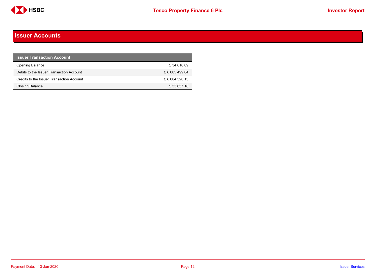

#### <span id="page-11-0"></span>**Issuer Accounts**

| <b>Issuer Transaction Account</b>         |               |
|-------------------------------------------|---------------|
| <b>Opening Balance</b>                    | £34.816.09    |
| Debits to the Issuer Transaction Account  | £8,603,499.04 |
| Credits to the Issuer Transaction Account | £8,604,320.13 |
| <b>Closing Balance</b>                    | £35,637.18    |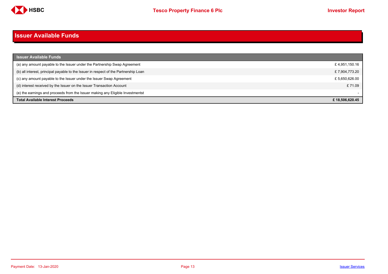

#### <span id="page-12-0"></span>**Issuer Available Funds**

| <b>Issuer Available Funds</b>                                                        |                |
|--------------------------------------------------------------------------------------|----------------|
| (a) any amount payable to the Issuer under the Partnership Swap Agreement            | £4,951,150.16  |
| (b) all interest, principal payable to the Issuer in respect of the Partnership Loan | £7,904,773.20  |
| (c) any amount payable to the Issuer under the Issuer Swap Agreement                 | £5,650,626.00  |
| (d) interest received by the Issuer on the Issuer Transaction Account                | £71.09         |
| (e) the earnings and proceeds from the Issuer making any Eligible Investmentst       |                |
| <b>Total Available Interest Proceeds</b>                                             | £18.506.620.45 |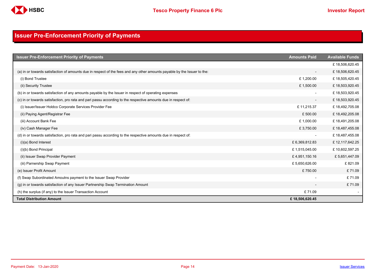

## <span id="page-13-0"></span>**Issuer Pre-Enforcement Priority of Payments**

| <b>Issuer Pre-Enforcement Priority of Payments</b>                                                                       | <b>Amounts Paid</b>      | <b>Available Funds</b> |
|--------------------------------------------------------------------------------------------------------------------------|--------------------------|------------------------|
|                                                                                                                          |                          | £18,506,620.45         |
| (a) in or towards satisfaction of amounts due in respect of the fees and any other amounts payable by the Issuer to the: | $\overline{\phantom{a}}$ | £18,506,620.45         |
| (i) Bond Trustee                                                                                                         | £1,200.00                | £18,505,420.45         |
| (ii) Security Trustee                                                                                                    | £1,500.00                | £18,503,920.45         |
| (b) in or towards satisfaction of any amounts payable by the Issuer in respect of operating expenses                     | $\overline{\phantom{a}}$ | £18,503,920.45         |
| (c) in or towards satisfaction, pro rata and pari passu according to the respective amounts due in respect of:           | $\overline{\phantom{a}}$ | £18,503,920.45         |
| (i) Issuer/Issuer Holdco Corporate Services Provider Fee                                                                 | £11,215.37               | £18,492,705.08         |
| (ii) Paying Agent/Registrar Fee                                                                                          | £500.00                  | £18,492,205.08         |
| (iii) Account Bank Fee                                                                                                   | £1,000.00                | £18,491,205.08         |
| (iv) Cash Manager Fee                                                                                                    | £3,750.00                | £18,487,455.08         |
| (d) in or towards satisfaction, pro rata and pari passu according to the respective amounts due in respect of:           | $\overline{\phantom{a}}$ | £18,487,455.08         |
| $(i)(a)$ Bond Interest                                                                                                   | £6,369,812.83            | £12,117,642.25         |
| (i)(b) Bond Principal                                                                                                    | £1,515,045.00            | £10,602,597.25         |
| (ii) Issuer Swap Provider Payment                                                                                        | £4,951,150.16            | £5,651,447.09          |
| (iii) Parnership Swap Payment                                                                                            | £5,650,626.00            | £821.09                |
| (e) Issuer Profit Amount                                                                                                 | £750.00                  | £71.09                 |
| (f) Swap Subordinated Amoutns payment to the Issuer Swap Provider                                                        |                          | £71.09                 |
| (g) in or towards satisfaction of any Issuer Partnership Swap Termination Amount                                         |                          | £71.09                 |
| (h) the surplus (if any) to the Issuer Transaction Account                                                               | £71.09                   |                        |
| <b>Total Distribution Amount</b>                                                                                         | £18,506,620.45           |                        |